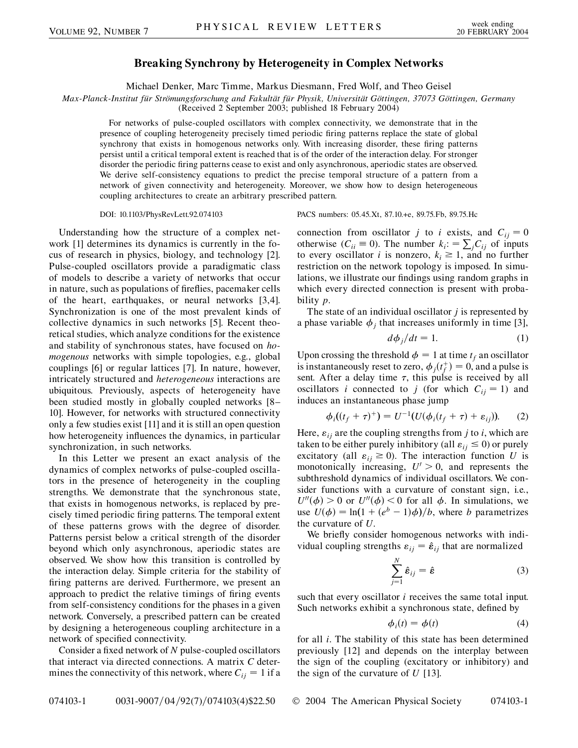## **Breaking Synchrony by Heterogeneity in Complex Networks**

Michael Denker, Marc Timme, Markus Diesmann, Fred Wolf, and Theo Geisel

*Max-Planck-Institut fu¨r Stro¨mungsforschung and Fakulta¨t fu¨r Physik, Universita¨t Go¨ttingen, 37073 Go¨ttingen, Germany*

(Received 2 September 2003; published 18 February 2004)

For networks of pulse-coupled oscillators with complex connectivity, we demonstrate that in the presence of coupling heterogeneity precisely timed periodic firing patterns replace the state of global synchrony that exists in homogenous networks only. With increasing disorder, these firing patterns persist until a critical temporal extent is reached that is of the order of the interaction delay. For stronger disorder the periodic firing patterns cease to exist and only asynchronous, aperiodic states are observed. We derive self-consistency equations to predict the precise temporal structure of a pattern from a network of given connectivity and heterogeneity. Moreover, we show how to design heterogeneous coupling architectures to create an arbitrary prescribed pattern.

Understanding how the structure of a complex network [1] determines its dynamics is currently in the focus of research in physics, biology, and technology [2]. Pulse-coupled oscillators provide a paradigmatic class of models to describe a variety of networks that occur in nature, such as populations of fireflies, pacemaker cells of the heart, earthquakes, or neural networks [3,4]. Synchronization is one of the most prevalent kinds of collective dynamics in such networks [5]. Recent theoretical studies, which analyze conditions for the existence and stability of synchronous states, have focused on *homogenous* networks with simple topologies, e.g., global couplings [6] or regular lattices [7]. In nature, however, intricately structured and *heterogeneous* interactions are ubiquitous. Previously, aspects of heterogeneity have been studied mostly in globally coupled networks [8– 10]. However, for networks with structured connectivity only a few studies exist [11] and it is still an open question how heterogeneity influences the dynamics, in particular synchronization, in such networks.

In this Letter we present an exact analysis of the dynamics of complex networks of pulse-coupled oscillators in the presence of heterogeneity in the coupling strengths. We demonstrate that the synchronous state, that exists in homogenous networks, is replaced by precisely timed periodic firing patterns. The temporal extent of these patterns grows with the degree of disorder. Patterns persist below a critical strength of the disorder beyond which only asynchronous, aperiodic states are observed. We show how this transition is controlled by the interaction delay. Simple criteria for the stability of firing patterns are derived. Furthermore, we present an approach to predict the relative timings of firing events from self-consistency conditions for the phases in a given network. Conversely, a prescribed pattern can be created by designing a heterogeneous coupling architecture in a network of specified connectivity.

Consider a fixed network of *N* pulse-coupled oscillators that interact via directed connections. A matrix *C* determines the connectivity of this network, where  $C_{ij} = 1$  if a

DOI: 10.1103/PhysRevLett.92.074103 PACS numbers: 05.45.Xt, 87.10.+e, 89.75.Fb, 89.75.Hc

connection from oscillator *j* to *i* exists, and  $C_{ij} = 0$ otherwise  $(C_{ii} \equiv 0)$ . The number  $k_i = \sum_j C_{ij}$  of inputs to every oscillator *i* is nonzero,  $k_i \geq 1$ , and no further restriction on the network topology is imposed. In simulations, we illustrate our findings using random graphs in which every directed connection is present with probability *p*.

The state of an individual oscillator *j* is represented by a phase variable  $\phi_i$  that increases uniformly in time [3],

$$
d\phi_j/dt = 1. \tag{1}
$$

Upon crossing the threshold  $\phi = 1$  at time  $t_f$  an oscillator is instantaneously reset to zero,  $\phi_j(t_f^+) = 0$ , and a pulse is sent. After a delay time  $\tau$ , this pulse is received by all oscillators *i* connected to *j* (for which  $C_{ij} = 1$ ) and induces an instantaneous phase jump

$$
\phi_i((t_f + \tau)^+) = U^{-1}(U(\phi_i(t_f + \tau) + \varepsilon_{ij})).
$$
 (2)

Here,  $\varepsilon_{ij}$  are the coupling strengths from *j* to *i*, which are taken to be either purely inhibitory (all  $\varepsilon_{ij} \leq 0$ ) or purely excitatory (all  $\varepsilon_{ij} \ge 0$ ). The interaction function *U* is monotonically increasing,  $U' > 0$ , and represents the subthreshold dynamics of individual oscillators. We consider functions with a curvature of constant sign, i.e.,  $U''(\phi) > 0$  or  $U''(\phi) < 0$  for all  $\phi$ . In simulations, we use  $U(\phi) = \ln(1 + (e^b - 1)\phi)/b$ , where *b* parametrizes the curvature of *U*.

We briefly consider homogenous networks with individual coupling strengths  $\varepsilon_{ij} = \hat{\varepsilon}_{ij}$  that are normalized

$$
\sum_{j=1}^{N} \hat{\varepsilon}_{ij} = \hat{\varepsilon}
$$
 (3)

such that every oscillator *i* receives the same total input. Such networks exhibit a synchronous state, defined by

$$
\phi_i(t) = \phi(t) \tag{4}
$$

for all *i*. The stability of this state has been determined previously [12] and depends on the interplay between the sign of the coupling (excitatory or inhibitory) and the sign of the curvature of *U* [13].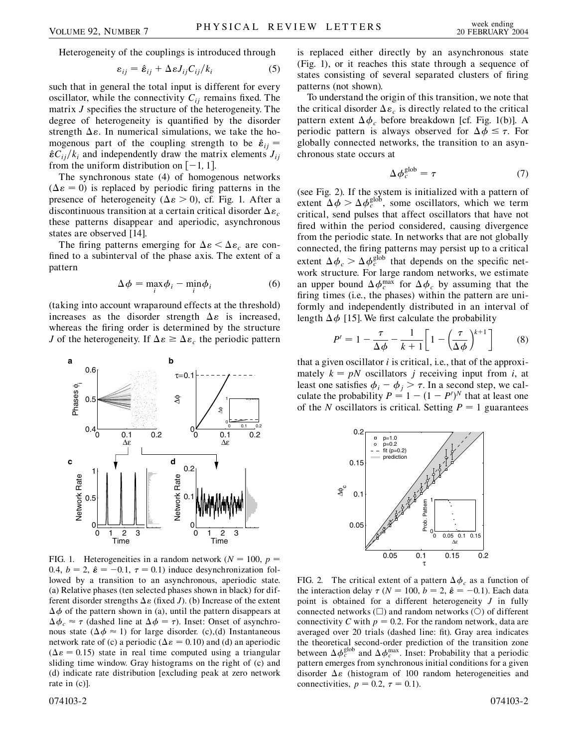Heterogeneity of the couplings is introduced through

$$
\varepsilon_{ij} = \hat{\varepsilon}_{ij} + \Delta \varepsilon J_{ij} C_{ij} / k_i \tag{5}
$$

such that in general the total input is different for every oscillator, while the connectivity  $C_{ij}$  remains fixed. The matrix *J* specifies the structure of the heterogeneity. The degree of heterogeneity is quantified by the disorder strength  $\Delta \varepsilon$ . In numerical simulations, we take the homogenous part of the coupling strength to be  $\hat{\varepsilon}_{ij}$  =  $\hat{\epsilon} C_{ij}/k_i$  and independently draw the matrix elements  $J_{ij}$ from the uniform distribution on  $[-1, 1]$ .

The synchronous state (4) of homogenous networks  $(\Delta \varepsilon = 0)$  is replaced by periodic firing patterns in the presence of heterogeneity ( $\Delta \varepsilon > 0$ ), cf. Fig. 1. After a discontinuous transition at a certain critical disorder  $\Delta \varepsilon_c$ these patterns disappear and aperiodic, asynchronous states are observed [14].

The firing patterns emerging for  $\Delta \varepsilon < \Delta \varepsilon_c$  are confined to a subinterval of the phase axis. The extent of a pattern

$$
\Delta \phi = \max_{i} \phi_{i} - \min_{i} \phi_{i}
$$
 (6)

(taking into account wraparound effects at the threshold) increases as the disorder strength  $\Delta \varepsilon$  is increased, whereas the firing order is determined by the structure *J* of the heterogeneity. If  $\Delta \varepsilon \geq \Delta \varepsilon_c$  the periodic pattern



FIG. 1. Heterogeneities in a random network ( $N = 100$ ,  $p =$ 0.4,  $b = 2$ ,  $\hat{\epsilon} = -0.1$ ,  $\tau = 0.1$ ) induce desynchronization followed by a transition to an asynchronous, aperiodic state. (a) Relative phases (ten selected phases shown in black) for different disorder strengths  $\Delta \varepsilon$  (fixed *J*). (b) Increase of the extent  $\Delta \phi$  of the pattern shown in (a), until the pattern disappears at  $\Delta \phi_c \approx \tau$  (dashed line at  $\Delta \phi = \tau$ ). Inset: Onset of asynchronous state ( $\Delta \phi \approx 1$ ) for large disorder. (c),(d) Instantaneous network rate of (c) a periodic ( $\Delta \varepsilon = 0.10$ ) and (d) an aperiodic  $(\Delta \varepsilon = 0.15)$  state in real time computed using a triangular sliding time window. Gray histograms on the right of (c) and (d) indicate rate distribution [excluding peak at zero network rate in (c)].

is replaced either directly by an asynchronous state (Fig. 1), or it reaches this state through a sequence of states consisting of several separated clusters of firing patterns (not shown).

To understand the origin of this transition, we note that the critical disorder  $\Delta \varepsilon_c$  is directly related to the critical pattern extent  $\Delta \phi_c$  before breakdown [cf. Fig. 1(b)]. A periodic pattern is always observed for  $\Delta \phi \leq \tau$ . For globally connected networks, the transition to an asynchronous state occurs at

$$
\Delta \phi_c^{\text{glob}} = \tau \tag{7}
$$

(see Fig. 2). If the system is initialized with a pattern of extent  $\Delta \phi > \Delta \phi_c^{\text{glob}}$ , some oscillators, which we term critical, send pulses that affect oscillators that have not fired within the period considered, causing divergence from the periodic state. In networks that are not globally connected, the firing patterns may persist up to a critical extent  $\Delta \phi_c > \Delta \phi_c^{\text{glob}}$  that depends on the specific network structure. For large random networks, we estimate an upper bound  $\Delta \phi_c^{\text{max}}$  for  $\Delta \phi_c$  by assuming that the firing times (i.e., the phases) within the pattern are uniformly and independently distributed in an interval of length  $\Delta \phi$  [15]. We first calculate the probability

$$
P' = 1 - \frac{\tau}{\Delta \phi} - \frac{1}{k+1} \left[ 1 - \left( \frac{\tau}{\Delta \phi} \right)^{k+1} \right] \tag{8}
$$

that a given oscillator *i* is critical, i.e., that of the approximately  $k = pN$  oscillators *j* receiving input from *i*, at least one satisfies  $\phi_i - \phi_j > \tau$ . In a second step, we calculate the probability  $P = 1 - (1 - P')^N$  that at least one of the *N* oscillators is critical. Setting  $P = 1$  guarantees



FIG. 2. The critical extent of a pattern  $\Delta \phi_c$  as a function of the interaction delay  $\tau$  ( $N = 100$ ,  $b = 2$ ,  $\hat{\epsilon} = -0.1$ ). Each data point is obtained for a different heterogeneity *J* in fully connected networks  $(\Box)$  and random networks  $(\bigcirc)$  of different connectivity *C* with  $p = 0.2$ . For the random network, data are averaged over 20 trials (dashed line: fit). Gray area indicates the theoretical second-order prediction of the transition zone between  $\Delta \phi_c^{\text{glob}}$  and  $\Delta \phi_c^{\text{max}}$ . Inset: Probability that a periodic pattern emerges from synchronous initial conditions for a given disorder  $\Delta \varepsilon$  (histogram of 100 random heterogeneities and connectivities,  $p = 0.2$ ,  $\tau = 0.1$ ).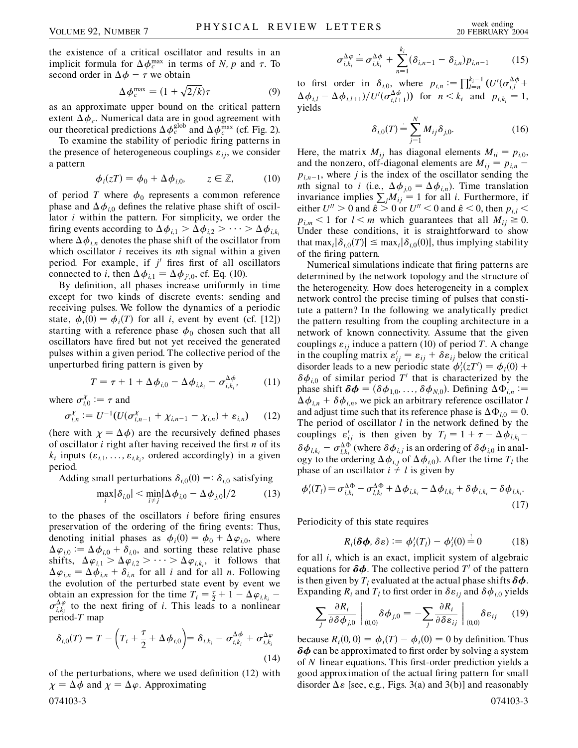the existence of a critical oscillator and results in an implicit formula for  $\Delta \phi_c^{\text{max}}$  in terms of *N*, *p* and  $\tau$ . To second order in  $\Delta \phi - \tau$  we obtain

$$
\Delta \phi_c^{\text{max}} = (1 + \sqrt{2/k})\tau \tag{9}
$$

as an approximate upper bound on the critical pattern extent  $\Delta \phi_c$ . Numerical data are in good agreement with our theoretical predictions  $\Delta \phi_c^{\text{glob}}$  and  $\Delta \phi_c^{\text{max}}$  (cf. Fig. 2).

To examine the stability of periodic firing patterns in the presence of heterogeneous couplings  $\varepsilon_{ij}$ , we consider a pattern

$$
\phi_i(zT) = \phi_0 + \Delta \phi_{i,0}, \qquad z \in \mathbb{Z}, \tag{10}
$$

of period *T* where  $\phi_0$  represents a common reference phase and  $\Delta \phi_{i,0}$  defines the relative phase shift of oscillator *i* within the pattern. For simplicity, we order the firing events according to  $\Delta \phi_{i,1} > \Delta \phi_{i,2} > \cdots > \Delta \phi_{i,k_i}$ where  $\Delta \phi_{i,n}$  denotes the phase shift of the oscillator from which oscillator *i* receives its *n*th signal within a given period. For example, if  $j'$  fires first of all oscillators connected to *i*, then  $\Delta \phi_{i,1} = \Delta \phi_{j',0}$ , cf. Eq. (10).

By definition, all phases increase uniformly in time except for two kinds of discrete events: sending and receiving pulses. We follow the dynamics of a periodic state,  $\phi_i(0) = \phi_i(T)$  for all *i*, event by event (cf. [12]) starting with a reference phase  $\phi_0$  chosen such that all oscillators have fired but not yet received the generated pulses within a given period. The collective period of the unperturbed firing pattern is given by

$$
T = \tau + 1 + \Delta \phi_{i,0} - \Delta \phi_{i,k_i} - \sigma_{i,k_i}^{\Delta \phi}, \qquad (11)
$$

where  $\sigma_{i,0}^{\chi} := \tau$  and

$$
\sigma_{i,n}^{\chi} := U^{-1}(U(\sigma_{i,n-1}^{\chi} + \chi_{i,n-1} - \chi_{i,n}) + \varepsilon_{i,n}) \qquad (12)
$$

(here with  $\chi = \Delta \phi$ ) are the recursively defined phases of oscillator *i* right after having received the first *n* of its  $k_i$  inputs ( $\varepsilon_{i,1}, \ldots, \varepsilon_{i,k_i}$ , ordered accordingly) in a given period.

Adding small perturbations  $\delta_{i,0}(0) =: \delta_{i,0}$  satisfying

$$
\max_{i} |\delta_{i,0}| < \min_{i \neq j} |\Delta \phi_{i,0} - \Delta \phi_{j,0}|/2 \tag{13}
$$

to the phases of the oscillators *i* before firing ensures preservation of the ordering of the firing events: Thus, denoting initial phases as  $\phi_i(0) = \phi_0 + \Delta \varphi_{i,0}$ , where  $\Delta \varphi_{i,0} := \Delta \varphi_{i,0} + \delta_{i,0}$ , and sorting these relative phase shifts,  $\Delta \varphi_{i,1} > \Delta \varphi_{i,2} > \cdots > \Delta \varphi_{i,k_i}$ , it follows that  $\Delta \varphi_{i,n} = \Delta \varphi_{i,n} + \delta_{i,n}$  for all *i* and for all *n*. Following the evolution of the perturbed state event by event we obtain an expression for the time  $T_i = \frac{\tau}{2} + 1 - \Delta \varphi_{i,k_i}$  $\sigma_{i,k_i}^{\Delta \varphi}$  to the next firing of *i*. This leads to a nonlinear period-*T* map

$$
\delta_{i,0}(T) = T - \left(T_i + \frac{\tau}{2} + \Delta \phi_{i,0}\right) = \delta_{i,k_i} - \sigma_{i,k_i}^{\Delta \phi} + \sigma_{i,k_i}^{\Delta \phi}
$$
\n(14)

of the perturbations, where we used definition (12) with  $\chi = \Delta \phi$  and  $\chi = \Delta \varphi$ . Approximating 074103-3 074103-3

$$
\sigma_{i,k_i}^{\Delta \varphi} = \sigma_{i,k_i}^{\Delta \varphi} + \sum_{n=1}^{k_i} (\delta_{i,n-1} - \delta_{i,n}) p_{i,n-1}
$$
 (15)

to first order in  $\delta_{i,0}$ , where  $p_{i,n} := \prod_{l=n}^{k_i-1} (U'(\sigma_{i,l}^{\Delta \phi} +$  $\Delta \phi_{i,l} - \Delta \phi_{i,l+1}$ )/ $U'(\sigma_{i,l+1}^{\Delta \phi})$  for  $n < k_i$  and  $p_{i,k_i} = 1$ , yields

$$
\delta_{i,0}(T) = \sum_{j=1}^{N} M_{ij} \delta_{j,0}.
$$
 (16)

Here, the matrix  $M_{ij}$  has diagonal elements  $M_{ii} = p_{i,0}$ , and the nonzero, off-diagonal elements are  $M_{ii} = p_{i,n}$  $p_{i,n-1}$ , where *j* is the index of the oscillator sending the *nth* signal to *i* (i.e.,  $\Delta \phi_{i,0} = \Delta \phi_{i,n}$ ). Time translation invariance implies  $\sum_j M_{ij} = 1$  for all *i*. Furthermore, if either  $U'' > 0$  and  $\hat{\epsilon} > 0$  or  $U'' < 0$  and  $\hat{\epsilon} < 0$ , then  $p_{i,l} <$  $p_{i,m}$  < 1 for  $l < m$  which guarantees that all  $M_{ij} \geq 0$ . Under these conditions, it is straightforward to show that max<sub>*i*</sub> $|\delta_{i,0}(T)| \leq \max_i |\delta_{i,0}(0)|$ , thus implying stability of the firing pattern.

Numerical simulations indicate that firing patterns are determined by the network topology and the structure of the heterogeneity. How does heterogeneity in a complex network control the precise timing of pulses that constitute a pattern? In the following we analytically predict the pattern resulting from the coupling architecture in a network of known connectivity. Assume that the given couplings  $\varepsilon_{ij}$  induce a pattern (10) of period *T*. A change in the coupling matrix  $\varepsilon'_{ij} = \varepsilon_{ij} + \delta \varepsilon_{ij}$  below the critical disorder leads to a new periodic state  $\phi'_i(zT') = \phi_i(0)$  +  $\delta\phi_{i,0}$  of similar period T' that is characterized by the phase shift  $\delta \phi = (\delta \phi_{1,0}, \dots, \delta \phi_{N,0})$ . Defining  $\Delta \Phi_{i,n}$  :=  $\Delta \phi_{i,n} + \delta \phi_{i,n}$ , we pick an arbitrary reference oscillator *l* and adjust time such that its reference phase is  $\Delta \Phi_{l,0} = 0$ . The period of oscillator *l* in the network defined by the couplings  $\varepsilon'_{ij}$  is then given by  $T_l = 1 + \tau - \Delta \phi_{l,k_l}$  $\delta \phi_{l,k_l} - \sigma_{l,k_l}^{\Delta \Phi}$  (where  $\delta \phi_{i,j}$  is an ordering of  $\delta \phi_{i,0}$  in analogy to the ordering  $\Delta \phi_{i,j}$  of  $\Delta \phi_{i,0}$ ). After the time  $T_i$  the phase of an oscillator  $i \neq l$  is given by

$$
\phi_i'(T_l) = \sigma_{i,k_i}^{\Delta \Phi} - \sigma_{l,k_l}^{\Delta \Phi} + \Delta \phi_{i,k_i} - \Delta \phi_{l,k_l} + \delta \phi_{i,k_i} - \delta \phi_{l,k_l}.
$$
\n(17)

Periodicity of this state requires

$$
R_i(\delta \phi, \delta \varepsilon) := \phi_i'(T_l) - \phi_i'(0) = 0 \qquad (18)
$$

for all *i*, which is an exact, implicit system of algebraic equations for  $\delta\phi$ . The collective period  $T'$  of the pattern is then given by  $T_l$  evaluated at the actual phase shifts  $\delta \phi$ . Expanding  $R_i$  and  $T_l$  to first order in  $\delta \varepsilon_{ij}$  and  $\delta \phi_{i,0}$  yields

$$
\sum_{j} \frac{\partial R_{i}}{\partial \delta \phi_{j,0}} \bigg|_{(0,0)} \delta \phi_{j,0} = - \sum_{j} \frac{\partial R_{i}}{\partial \delta \varepsilon_{ij}} \bigg|_{(0,0)} \delta \varepsilon_{ij} \qquad (19)
$$

because  $R_i(0, 0) = \phi_i(T) - \phi_i(0) = 0$  by definition. Thus  $\delta\phi$  can be approximated to first order by solving a system of *N* linear equations. This first-order prediction yields a good approximation of the actual firing pattern for small disorder  $\Delta \varepsilon$  [see, e.g., Figs. 3(a) and 3(b)] and reasonably